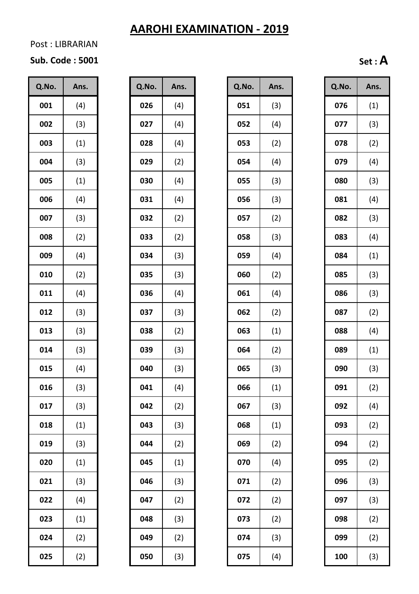Post : LIBRARIAN

#### **Sub. Code : 5001 Set : A**

| Q.No.   | Ans. |  |  |  |  |
|---------|------|--|--|--|--|
| 001     | (4)  |  |  |  |  |
| 002     | (3)  |  |  |  |  |
| 003     | (1)  |  |  |  |  |
| 004     | (3)  |  |  |  |  |
| 005     | (1)  |  |  |  |  |
| 006     | (4)  |  |  |  |  |
| 007     | (3)  |  |  |  |  |
| 008     | (2)  |  |  |  |  |
| 009     | (4)  |  |  |  |  |
| 010     | (2)  |  |  |  |  |
| 011     | (4)  |  |  |  |  |
| 012     | (3)  |  |  |  |  |
| 013     | (3)  |  |  |  |  |
| 014     | (3)  |  |  |  |  |
| 015     | (4)  |  |  |  |  |
| 16<br>U | (3)  |  |  |  |  |
| 017     | (3)  |  |  |  |  |
| 018     | (1)  |  |  |  |  |
| 019     | (3)  |  |  |  |  |
| 020     | (1)  |  |  |  |  |
| 021     | (3)  |  |  |  |  |
| 022     | (4)  |  |  |  |  |
| 023     | (1)  |  |  |  |  |
| 024     | (2)  |  |  |  |  |
| 025     | (2)  |  |  |  |  |

| Q.No. | Ans. |
|-------|------|
| 026   | (4)  |
| 027   | (4)  |
| 028   | (4)  |
| 029   | (2)  |
| 030   | (4)  |
| 031   | (4)  |
| 032   | (2)  |
| 033   | (2)  |
| 034   | (3)  |
| 035   | (3)  |
| 036   | (4)  |
| 037   | (3)  |
| 038   | (2)  |
| 039   | (3)  |
| 040   | (3)  |
| 041   | (4)  |
| 042   | (2)  |
| 043   | (3)  |
| 044   | (2)  |
| 045   | (1)  |
| 046   | (3)  |
| 047   | (2)  |
| 048   | (3)  |
| 049   | (2)  |
| 050   | (3)  |

| Q.No. | Ans. | Q.No. | Ans. | Q.No. | Ans. | Q.No. | Ans. |
|-------|------|-------|------|-------|------|-------|------|
| 001   | (4)  | 026   | (4)  | 051   | (3)  | 076   | (1)  |
| 002   | (3)  | 027   | (4)  | 052   | (4)  | 077   | (3)  |
| 003   | (1)  | 028   | (4)  | 053   | (2)  | 078   | (2)  |
| 004   | (3)  | 029   | (2)  | 054   | (4)  | 079   | (4)  |
| 005   | (1)  | 030   | (4)  | 055   | (3)  | 080   | (3)  |
| 006   | (4)  | 031   | (4)  | 056   | (3)  | 081   | (4)  |
| 007   | (3)  | 032   | (2)  | 057   | (2)  | 082   | (3)  |
| 008   | (2)  | 033   | (2)  | 058   | (3)  | 083   | (4)  |
| 009   | (4)  | 034   | (3)  | 059   | (4)  | 084   | (1)  |
| 010   | (2)  | 035   | (3)  | 060   | (2)  | 085   | (3)  |
| 011   | (4)  | 036   | (4)  | 061   | (4)  | 086   | (3)  |
| 012   | (3)  | 037   | (3)  | 062   | (2)  | 087   | (2)  |
| 013   | (3)  | 038   | (2)  | 063   | (1)  | 088   | (4)  |
| 014   | (3)  | 039   | (3)  | 064   | (2)  | 089   | (1)  |
| 015   | (4)  | 040   | (3)  | 065   | (3)  | 090   | (3)  |
| 016   | (3)  | 041   | (4)  | 066   | (1)  | 091   | (2)  |
| 017   | (3)  | 042   | (2)  | 067   | (3)  | 092   | (4)  |
| 018   | (1)  | 043   | (3)  | 068   | (1)  | 093   | (2)  |
| 019   | (3)  | 044   | (2)  | 069   | (2)  | 094   | (2)  |
| 020   | (1)  | 045   | (1)  | 070   | (4)  | 095   | (2)  |
| 021   | (3)  | 046   | (3)  | 071   | (2)  | 096   | (3)  |
| 022   | (4)  | 047   | (2)  | 072   | (2)  | 097   | (3)  |
| 023   | (1)  | 048   | (3)  | 073   | (2)  | 098   | (2)  |
| 024   | (2)  | 049   | (2)  | 074   | (3)  | 099   | (2)  |
| 025   | (2)  | 050   | (3)  | 075   | (4)  | 100   | (3)  |

| Q.No. | Ans. |
|-------|------|
| 076   | (1)  |
| 077   | (3)  |
| 078   | (2)  |
| 079   | (4)  |
| 080   | (3)  |
| 081   | (4)  |
| 082   | (3)  |
| 083   | (4)  |
| 084   | (1)  |
| 085   | (3)  |
| 086   | (3)  |
| 087   | (2)  |
| 088   | (4)  |
| 089   | (1)  |
| 090   | (3)  |
| 091   | (2)  |
| 092   | (4)  |
| 093   | (2)  |
| 094   | (2)  |
| 095   | (2)  |
| 096   | (3)  |
| 097   | (3)  |
| 098   | (2)  |
| 099   | (2)  |
| 100   | (3)  |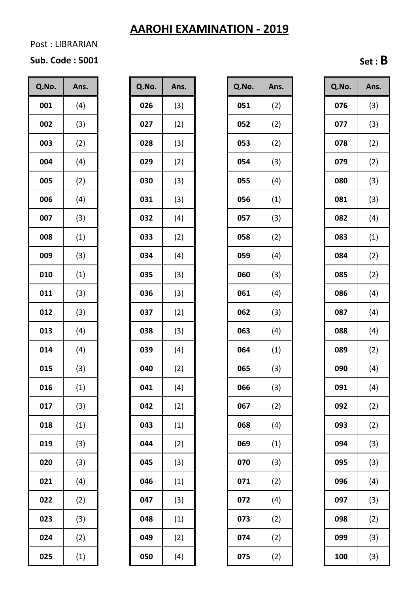#### Post : LIBRARIAN

# **Sub. Code : 5001 Set : B**

| Q.No. | Ans.              |  |  |  |  |
|-------|-------------------|--|--|--|--|
| 001   | (4)               |  |  |  |  |
| 002   | (3)               |  |  |  |  |
| 003   | (2)               |  |  |  |  |
| 004   | (4)               |  |  |  |  |
| 005   | (2)               |  |  |  |  |
| 006   | (4)               |  |  |  |  |
| 007   | (3)               |  |  |  |  |
| 008   | $\left( 1\right)$ |  |  |  |  |
| 009   | (3)               |  |  |  |  |
| 010   | (1)               |  |  |  |  |
| 011   | (3)               |  |  |  |  |
| 012   | (3)               |  |  |  |  |
| 013   | (4)               |  |  |  |  |
| 014   | (4)               |  |  |  |  |
| 015   | (3)               |  |  |  |  |
| h     | (1)               |  |  |  |  |
| 017   | (3)               |  |  |  |  |
| 018   | (1)               |  |  |  |  |
| 019   | (3)               |  |  |  |  |
| 020   | (3)               |  |  |  |  |
| 021   | (4)               |  |  |  |  |
| 022   | (2)               |  |  |  |  |
| 023   | (3)               |  |  |  |  |
| 024   | (2)               |  |  |  |  |
| 025   | (1)               |  |  |  |  |

| Q.No. | Ans. |
|-------|------|
| 026   | (3)  |
| 027   | (2)  |
| 028   | (3)  |
| 029   | (2)  |
| 030   | (3)  |
| 031   | (3)  |
| 032   | (4)  |
| 033   | (2)  |
| 034   | (4)  |
| 035   | (3)  |
| 036   | (3)  |
| 037   | (2)  |
| 038   | (3)  |
| 039   | (4)  |
| 040   | (2)  |
| 041   | (4)  |
| 042   | (2)  |
| 043   | (1)  |
| 044   | (2)  |
| 045   | (3)  |
| 046   | (1)  |
| 047   | (3)  |
| 048   | (1)  |
| 049   | (2)  |
| 050   | (4)  |

| Q.No. | Ans. | Q.No. | Ans. | Q.No. | Ans. | Q.No. | Ans. |
|-------|------|-------|------|-------|------|-------|------|
| 001   | (4)  | 026   | (3)  | 051   | (2)  | 076   | (3)  |
| 002   | (3)  | 027   | (2)  | 052   | (2)  | 077   | (3)  |
| 003   | (2)  | 028   | (3)  | 053   | (2)  | 078   | (2)  |
| 004   | (4)  | 029   | (2)  | 054   | (3)  | 079   | (2)  |
| 005   | (2)  | 030   | (3)  | 055   | (4)  | 080   | (3)  |
| 006   | (4)  | 031   | (3)  | 056   | (1)  | 081   | (3)  |
| 007   | (3)  | 032   | (4)  | 057   | (3)  | 082   | (4)  |
| 008   | (1)  | 033   | (2)  | 058   | (2)  | 083   | (1)  |
| 009   | (3)  | 034   | (4)  | 059   | (4)  | 084   | (2)  |
| 010   | (1)  | 035   | (3)  | 060   | (3)  | 085   | (2)  |
| 011   | (3)  | 036   | (3)  | 061   | (4)  | 086   | (4)  |
| 012   | (3)  | 037   | (2)  | 062   | (3)  | 087   | (4)  |
| 013   | (4)  | 038   | (3)  | 063   | (4)  | 088   | (4)  |
| 014   | (4)  | 039   | (4)  | 064   | (1)  | 089   | (2)  |
| 015   | (3)  | 040   | (2)  | 065   | (3)  | 090   | (4)  |
| 016   | (1)  | 041   | (4)  | 066   | (3)  | 091   | (4)  |
| 017   | (3)  | 042   | (2)  | 067   | (2)  | 092   | (2)  |
| 018   | (1)  | 043   | (1)  | 068   | (4)  | 093   | (2)  |
| 019   | (3)  | 044   | (2)  | 069   | (1)  | 094   | (3)  |
| 020   | (3)  | 045   | (3)  | 070   | (3)  | 095   | (3)  |
| 021   | (4)  | 046   | (1)  | 071   | (2)  | 096   | (4)  |
| 022   | (2)  | 047   | (3)  | 072   | (4)  | 097   | (3)  |
| 023   | (3)  | 048   | (1)  | 073   | (2)  | 098   | (2)  |
| 024   | (2)  | 049   | (2)  | 074   | (2)  | 099   | (3)  |
| 025   | (1)  | 050   | (4)  | 075   | (2)  | 100   | (3)  |

| Q.No. | Ans. |
|-------|------|
| 076   | (3)  |
| 077   | (3)  |
| 078   | (2)  |
| 079   | (2)  |
| 080   | (3)  |
| 081   | (3)  |
| 082   | (4)  |
| 083   | (1)  |
| 084   | (2)  |
| 085   | (2)  |
| 086   | (4)  |
| 087   | (4)  |
| 088   | (4)  |
| 089   | (2)  |
| 090   | (4)  |
| 091   | (4)  |
| 092   | (2)  |
| 093   | (2)  |
| 094   | (3)  |
| 095   | (3)  |
| 096   | (4)  |
| 097   | (3)  |
| 098   | (2)  |
| 099   | (3)  |
| 100   | (3)  |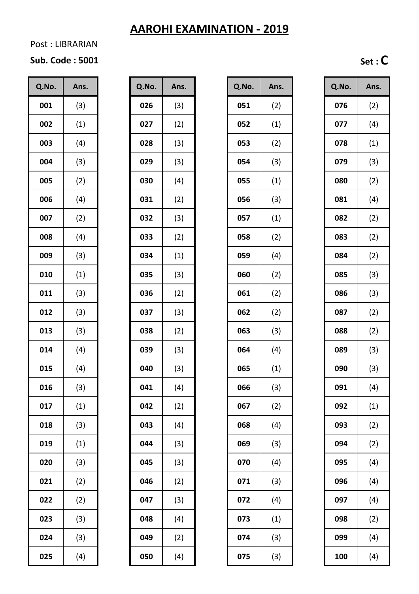#### Post : LIBRARIAN

# **Sub. Code : 5001 Set : C**

| Q.No.   | Ans. |  |  |  |  |
|---------|------|--|--|--|--|
| 001     | (3)  |  |  |  |  |
| 002     | (1)  |  |  |  |  |
| 003     | (4)  |  |  |  |  |
| 004     | (3)  |  |  |  |  |
| 005     | (2)  |  |  |  |  |
| 006     | (4)  |  |  |  |  |
| 007     | (2)  |  |  |  |  |
| 008     | (4)  |  |  |  |  |
| 009     | (3)  |  |  |  |  |
| 010     | (1)  |  |  |  |  |
| 011     | (3)  |  |  |  |  |
| 012     | (3)  |  |  |  |  |
| 013     | (3)  |  |  |  |  |
| 014     | (4)  |  |  |  |  |
| 015     | (4)  |  |  |  |  |
| 16<br>C | (3)  |  |  |  |  |
| 017     | (1)  |  |  |  |  |
| 018     | (3)  |  |  |  |  |
| 019     | (1)  |  |  |  |  |
| 020     | (3)  |  |  |  |  |
| 021     | (2)  |  |  |  |  |
| 022     | (2)  |  |  |  |  |
| 023     | (3)  |  |  |  |  |
| 024     | (3)  |  |  |  |  |
| 025     | (4)  |  |  |  |  |

| Q.No. | Ans.              |
|-------|-------------------|
| 026   | (3)               |
| 027   | (2)               |
| 028   | (3)               |
| 029   | (3)               |
| 030   | (4)               |
| 031   | (2)               |
| 032   | (3)               |
| 033   | (2)               |
| 034   | $\left( 1\right)$ |
| 035   | (3)               |
| 036   | (2)               |
| 037   | (3)               |
| 038   | (2)               |
| 039   | (3)               |
| 040   | (3)               |
| 041   | (4)               |
| 042   | (2)               |
| 043   | (4)               |
| 044   | (3)               |
| 045   | (3)               |
| 046   | (2)               |
| 047   | (3)               |
| 048   | (4)               |
| 049   | (2)               |
| 050   | (4)               |

| Q.No. | Ans. | Q.No. | Ans. | Q.No. | Ans. | Q.No. | Ans. |
|-------|------|-------|------|-------|------|-------|------|
| 001   | (3)  | 026   | (3)  | 051   | (2)  | 076   | (2)  |
| 002   | (1)  | 027   | (2)  | 052   | (1)  | 077   | (4)  |
| 003   | (4)  | 028   | (3)  | 053   | (2)  | 078   | (1)  |
| 004   | (3)  | 029   | (3)  | 054   | (3)  | 079   | (3)  |
| 005   | (2)  | 030   | (4)  | 055   | (1)  | 080   | (2)  |
| 006   | (4)  | 031   | (2)  | 056   | (3)  | 081   | (4)  |
| 007   | (2)  | 032   | (3)  | 057   | (1)  | 082   | (2)  |
| 008   | (4)  | 033   | (2)  | 058   | (2)  | 083   | (2)  |
| 009   | (3)  | 034   | (1)  | 059   | (4)  | 084   | (2)  |
| 010   | (1)  | 035   | (3)  | 060   | (2)  | 085   | (3)  |
| 011   | (3)  | 036   | (2)  | 061   | (2)  | 086   | (3)  |
| 012   | (3)  | 037   | (3)  | 062   | (2)  | 087   | (2)  |
| 013   | (3)  | 038   | (2)  | 063   | (3)  | 088   | (2)  |
| 014   | (4)  | 039   | (3)  | 064   | (4)  | 089   | (3)  |
| 015   | (4)  | 040   | (3)  | 065   | (1)  | 090   | (3)  |
| 016   | (3)  | 041   | (4)  | 066   | (3)  | 091   | (4)  |
| 017   | (1)  | 042   | (2)  | 067   | (2)  | 092   | (1)  |
| 018   | (3)  | 043   | (4)  | 068   | (4)  | 093   | (2)  |
| 019   | (1)  | 044   | (3)  | 069   | (3)  | 094   | (2)  |
| 020   | (3)  | 045   | (3)  | 070   | (4)  | 095   | (4)  |
| 021   | (2)  | 046   | (2)  | 071   | (3)  | 096   | (4)  |
| 022   | (2)  | 047   | (3)  | 072   | (4)  | 097   | (4)  |
| 023   | (3)  | 048   | (4)  | 073   | (1)  | 098   | (2)  |
| 024   | (3)  | 049   | (2)  | 074   | (3)  | 099   | (4)  |
| 025   | (4)  | 050   | (4)  | 075   | (3)  | 100   | (4)  |
|       |      |       |      |       |      |       |      |

| Q.No. | Ans. |
|-------|------|
| 076   | (2)  |
| 077   | (4)  |
| 078   | (1)  |
| 079   | (3)  |
| 080   | (2)  |
| 081   | (4)  |
| 082   | (2)  |
| 083   | (2)  |
| 084   | (2)  |
| 085   | (3)  |
| 086   | (3)  |
| 087   | (2)  |
| 088   | (2)  |
| 089   | (3)  |
| 090   | (3)  |
| 091   | (4)  |
| 092   | (1)  |
| 093   | (2)  |
| 094   | (2)  |
| 095   | (4)  |
| 096   | (4)  |
| 097   | (4)  |
| 098   | (2)  |
| 099   | (4)  |
| 100   | (4)  |